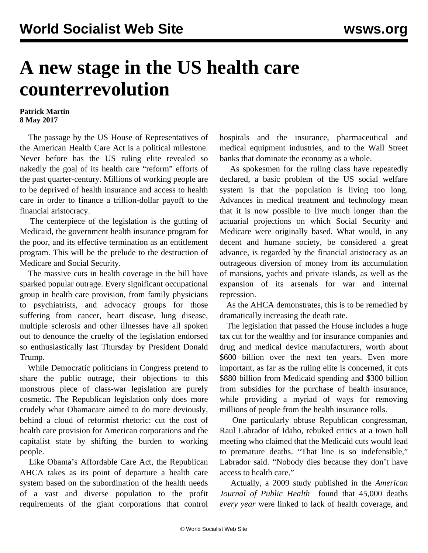## **A new stage in the US health care counterrevolution**

## **Patrick Martin 8 May 2017**

 The passage by the US House of Representatives of the American Health Care Act is a political milestone. Never before has the US ruling elite revealed so nakedly the goal of its health care "reform" efforts of the past quarter-century. Millions of working people are to be deprived of health insurance and access to health care in order to finance a trillion-dollar payoff to the financial aristocracy.

 The centerpiece of the legislation is the gutting of Medicaid, the government health insurance program for the poor, and its effective termination as an entitlement program. This will be the prelude to the destruction of Medicare and Social Security.

 The massive cuts in health coverage in the bill have sparked popular outrage. Every significant occupational group in health care provision, from family physicians to psychiatrists, and advocacy groups for those suffering from cancer, heart disease, lung disease, multiple sclerosis and other illnesses have all spoken out to denounce the cruelty of the legislation endorsed so enthusiastically last Thursday by President Donald Trump.

 While Democratic politicians in Congress pretend to share the public outrage, their objections to this monstrous piece of class-war legislation are purely cosmetic. The Republican legislation only does more crudely what Obamacare aimed to do more deviously, behind a cloud of reformist rhetoric: cut the cost of health care provision for American corporations and the capitalist state by shifting the burden to working people.

 Like Obama's Affordable Care Act, the Republican AHCA takes as its point of departure a health care system based on the subordination of the health needs of a vast and diverse population to the profit requirements of the giant corporations that control

hospitals and the insurance, pharmaceutical and medical equipment industries, and to the Wall Street banks that dominate the economy as a whole.

 As spokesmen for the ruling class have repeatedly declared, a basic problem of the US social welfare system is that the population is living too long. Advances in medical treatment and technology mean that it is now possible to live much longer than the actuarial projections on which Social Security and Medicare were originally based. What would, in any decent and humane society, be considered a great advance, is regarded by the financial aristocracy as an outrageous diversion of money from its accumulation of mansions, yachts and private islands, as well as the expansion of its arsenals for war and internal repression.

 As the AHCA demonstrates, this is to be remedied by dramatically increasing the death rate.

 The legislation that passed the House includes a huge tax cut for the wealthy and for insurance companies and drug and medical device manufacturers, worth about \$600 billion over the next ten years. Even more important, as far as the ruling elite is concerned, it cuts \$880 billion from Medicaid spending and \$300 billion from subsidies for the purchase of health insurance, while providing a myriad of ways for removing millions of people from the health insurance rolls.

 One particularly obtuse Republican congressman, Raul Labrador of Idaho, rebuked critics at a town hall meeting who claimed that the Medicaid cuts would lead to premature deaths. "That line is so indefensible," Labrador said. "Nobody dies because they don't have access to health care."

 Actually, a 2009 study published in the *American Journal of Public Health* found that 45,000 deaths *every year* were linked to lack of health coverage, and